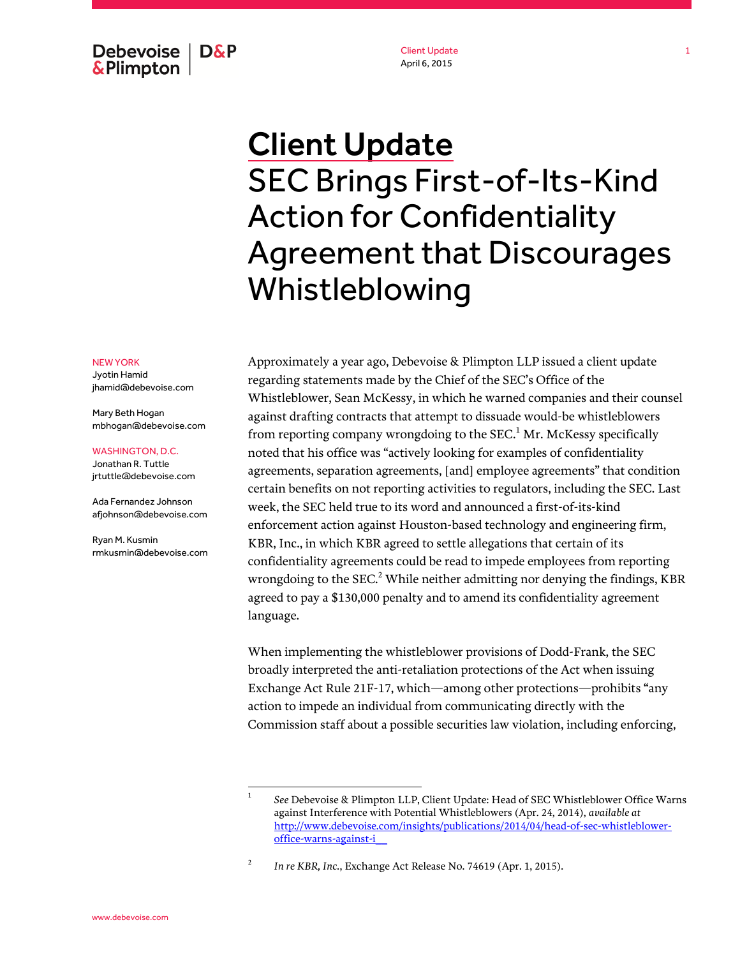Debevoise  $\overline{ }$  D&P **&Plimpton** 

Client Update April 6, 2015

## Client Update SEC Brings First-of-Its-Kind Action for Confidentiality Agreement that Discourages Whistleblowing

## NEW YORK

Jyotin Hamid jhamid@debevoise.com

Mary Beth Hogan mbhogan@debevoise.com

## WASHINGTON, D.C.

Jonathan R. Tuttle jrtuttle@debevoise.com

Ada Fernandez Johnson afjohnson@debevoise.com

Ryan M. Kusmin rmkusmin@debevoise.com Approximately a year ago, Debevoise & Plimpton LLP issued a client update regarding statements made by the Chief of the SEC's Office of the Whistleblower, Sean McKessy, in which he warned companies and their counsel against drafting contracts that attempt to dissuade would-be whistleblowers from reporting company wrongdoing to the SEC.<sup>1</sup> Mr. McKessy specifically noted that his office was "actively looking for examples of confidentiality agreements, separation agreements, [and] employee agreements" that condition certain benefits on not reporting activities to regulators, including the SEC. Last week, the SEC held true to its word and announced a first-of-its-kind enforcement action against Houston-based technology and engineering firm, KBR, Inc., in which KBR agreed to settle allegations that certain of its confidentiality agreements could be read to impede employees from reporting wrongdoing to the  $SEC.^2$  While neither admitting nor denying the findings, KBR agreed to pay a \$130,000 penalty and to amend its confidentiality agreement language.

When implementing the whistleblower provisions of Dodd-Frank, the SEC broadly interpreted the anti-retaliation protections of the Act when issuing Exchange Act Rule 21F-17, which—among other protections—prohibits "any action to impede an individual from communicating directly with the Commission staff about a possible securities law violation, including enforcing,

 $\frac{1}{1}$ 

*See* Debevoise & Plimpton LLP, Client Update: Head of SEC Whistleblower Office Warns against Interference with Potential Whistleblowers (Apr. 24, 2014), *available at*  [http://www.debevoise.com/insights/publications/2014/04/head-of-sec-whistleblower](http://www.debevoise.com/insights/publications/2014/04/head-of-sec-whistleblower-office-warns-against-i__)[office-warns-against-i\\_\\_](http://www.debevoise.com/insights/publications/2014/04/head-of-sec-whistleblower-office-warns-against-i__)

<sup>2</sup> *In re KBR, Inc.*, Exchange Act Release No. 74619 (Apr. 1, 2015).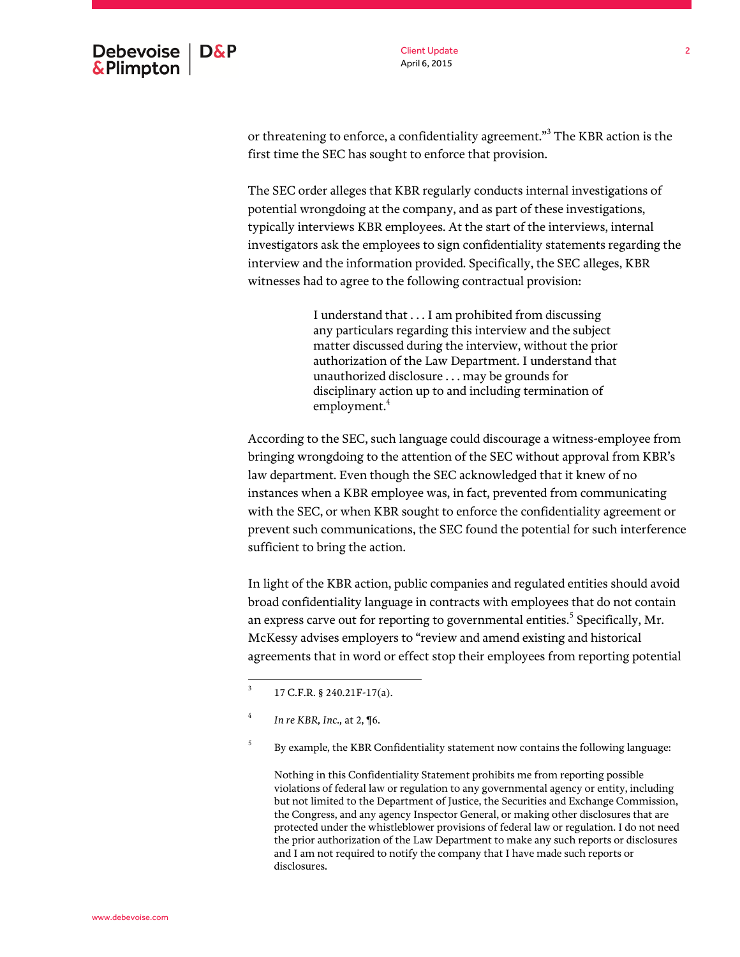Client Update April 6, 2015

or threatening to enforce, a confidentiality agreement."<sup>3</sup> The KBR action is the first time the SEC has sought to enforce that provision.

The SEC order alleges that KBR regularly conducts internal investigations of potential wrongdoing at the company, and as part of these investigations, typically interviews KBR employees. At the start of the interviews, internal investigators ask the employees to sign confidentiality statements regarding the interview and the information provided. Specifically, the SEC alleges, KBR witnesses had to agree to the following contractual provision:

> I understand that . . . I am prohibited from discussing any particulars regarding this interview and the subject matter discussed during the interview, without the prior authorization of the Law Department. I understand that unauthorized disclosure . . . may be grounds for disciplinary action up to and including termination of employment.<sup>4</sup>

According to the SEC, such language could discourage a witness-employee from bringing wrongdoing to the attention of the SEC without approval from KBR's law department. Even though the SEC acknowledged that it knew of no instances when a KBR employee was, in fact, prevented from communicating with the SEC, or when KBR sought to enforce the confidentiality agreement or prevent such communications, the SEC found the potential for such interference sufficient to bring the action.

In light of the KBR action, public companies and regulated entities should avoid broad confidentiality language in contracts with employees that do not contain an express carve out for reporting to governmental entities. $^5$  Specifically, Mr. McKessy advises employers to "review and amend existing and historical agreements that in word or effect stop their employees from reporting potential

Nothing in this Confidentiality Statement prohibits me from reporting possible violations of federal law or regulation to any governmental agency or entity, including but not limited to the Department of Justice, the Securities and Exchange Commission, the Congress, and any agency Inspector General, or making other disclosures that are protected under the whistleblower provisions of federal law or regulation. I do not need the prior authorization of the Law Department to make any such reports or disclosures and I am not required to notify the company that I have made such reports or disclosures.

<sup>&</sup>lt;sup>2</sup><br>3 17 C.F.R. § 240.21F-17(a).

<sup>4</sup> *In re KBR, Inc.,* at 2, ¶6.

<sup>5</sup> By example, the KBR Confidentiality statement now contains the following language: